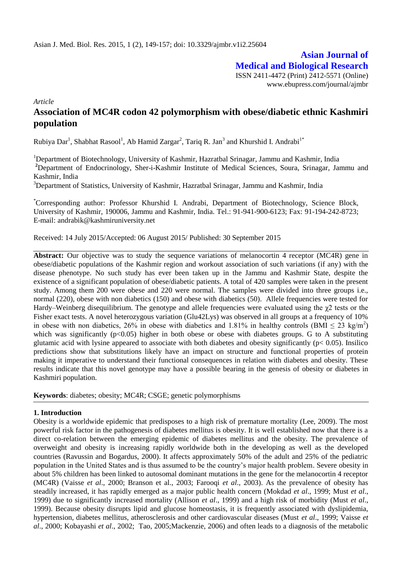# **Asian Journal of Medical and Biological Research**

ISSN 2411-4472 (Print) 2412-5571 (Online) www.ebupress.com/journal/ajmbr

*Article*

## **Association of MC4R codon 42 polymorphism with obese/diabetic ethnic Kashmiri population**

Rubiya Dar<sup>1</sup>, Shabhat Rasool<sup>1</sup>, Ab Hamid Zargar<sup>2</sup>, Tariq R. Jan<sup>3</sup> and Khurshid I. Andrabi<sup>1\*</sup>

<sup>1</sup>Department of Biotechnology, University of Kashmir, Hazratbal Srinagar, Jammu and Kashmir, India

<sup>2</sup>Department of Endocrinology, Sher-i-Kashmir Institute of Medical Sciences, Soura, Srinagar, Jammu and Kashmir, India

<sup>3</sup>Department of Statistics, University of Kashmir, Hazratbal Srinagar, Jammu and Kashmir, India

\*Corresponding author: Professor Khurshid I. Andrabi, Department of Biotechnology, Science Block, University of Kashmir, 190006, Jammu and Kashmir, India. Tel.: 91-941-900-6123; Fax: 91-194-242-8723; E-mail: [andrabik@kashmiruniversity.net](mailto:andrabik@kashmiruniversity.net)

Received: 14 July 2015/Accepted: 06 August 2015/ Published: 30 September 2015

**Abstract:** Our objective was to study the sequence variations of melanocortin 4 receptor (MC4R) gene in obese/diabetic populations of the Kashmir region and workout association of such variations (if any) with the disease phenotype. No such study has ever been taken up in the Jammu and Kashmir State, despite the existence of a significant population of obese/diabetic patients. A total of 420 samples were taken in the present study. Among them 200 were obese and 220 were normal. The samples were divided into three groups i.e., normal (220), obese with non diabetics (150) and obese with diabetics (50). Allele frequencies were tested for Hardy–Weinberg disequilibrium. The genotype and allele frequencies were evaluated using the  $\gamma$ 2 tests or the Fisher exact tests. A novel heterozygous variation (Glu42Lys) was observed in all groups at a frequency of 10% in obese with non diabetics, 26% in obese with diabetics and 1.81% in healthy controls (BMI  $\leq 23$  kg/m<sup>2</sup>) which was significantly  $(p<0.05)$  higher in both obese or obese with diabetes groups. G to A substituting glutamic acid with lysine appeared to associate with both diabetes and obesity significantly ( $p < 0.05$ ). Insilico predictions show that substitutions likely have an impact on structure and functional properties of protein making it imperative to understand their functional consequences in relation with diabetes and obesity. These results indicate that this novel genotype may have a possible bearing in the genesis of obesity or diabetes in Kashmiri population.

**Keywords**: diabetes; obesity; MC4R; CSGE; genetic polymorphisms

## **1. Introduction**

Obesity is a worldwide epidemic that predisposes to a high risk of premature mortality (Lee, 2009). The most powerful risk factor in the pathogenesis of diabetes mellitus is obesity. It is well established now that there is a direct co-relation between the emerging epidemic of diabetes mellitus and the obesity. The prevalence of overweight and obesity is increasing rapidly worldwide both in the developing as well as the developed countries (Ravussin and Bogardus, 2000). It affects approximately 50% of the adult and 25% of the pediatric population in the United States and is thus assumed to be the country's major health problem. Severe obesity in about 5% children has been linked to autosomal dominant mutations in the gene for the melanocortin 4 receptor (MC4R) (Vaisse *et al*., 2000; Branson et al., 2003; Farooqi *et al*., 2003). As the prevalence of obesity has steadily increased, it has rapidly emerged as a major public health concern (Mokdad *et al*., 1999; Must *et al*., 1999) due to significantly increased mortality (Allison *et al*., 1999) and a high risk of morbidity (Must *et al*., 1999). Because obesity disrupts lipid and glucose homeostasis, it is frequently associated with dyslipidemia, hypertension, diabetes mellitus, atherosclerosis and other cardiovascular diseases (Must *et al*., 1999; Vaisse *et al*., 2000; Kobayashi *et al*., 2002; Tao, 2005;Mackenzie, 2006) and often leads to a diagnosis of the metabolic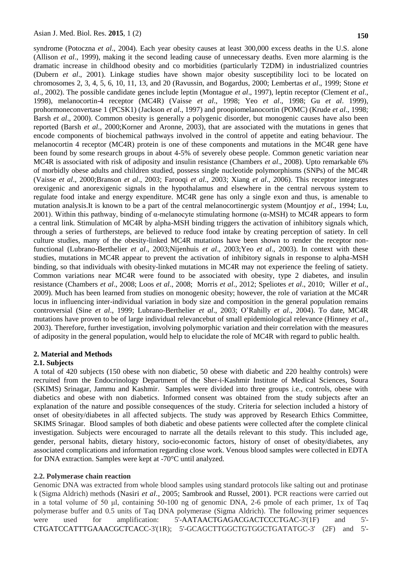syndrome (Potoczna *et al*., 2004). Each year obesity causes at least 300,000 excess deaths in the U.S. alone (Allison *et al*., 1999), making it the second leading cause of unnecessary deaths. Even more alarming is the dramatic increase in childhood obesity and co morbidities (particularly T2DM) in industrialized countries (Dubern *et al*., 2001). Linkage studies have shown major obesity susceptibility loci to be located on chromosomes 2, 3, 4, 5, 6, 10, 11, 13, and 20 (Ravussin, and Bogardus, 2000; Lembertas *et al*., 1999; Stone *et al*., 2002). The possible candidate genes include leptin (Montague *et al*., 1997), leptin receptor (Clement *et al*., 1998), melanocortin-4 receptor (MC4R) (Vaisse *et al*., 1998; Yeo *et al*., 1998; Gu *et al*. 1999), prohormoneconvertase 1 (PCSK1) (Jackson *et al*., 1997) and proopiomelanocortin (POMC) (Krude *et al*., 1998; Barsh *et al*., 2000). Common obesity is generally a polygenic disorder, but monogenic causes have also been reported (Barsh *et al*., 2000;Korner and Aronne, 2003), that are associated with the mutations in genes that encode components of biochemical pathways involved in the control of appetite and eating behaviour. The melanocortin 4 receptor (MC4R) protein is one of these components and mutations in the MC4R gene have been found by some research groups in about 4-5% of severely obese people. Common genetic variation near MC4R is associated with risk of adiposity and insulin resistance (Chambers *et al*., 2008). Upto remarkable 6% of morbidly obese adults and children studied, possess single nucleotide polymorphisms (SNPs) of the MC4R (Vaisse *et al*., 2000;Branson *et al*., 2003; Farooqi *et al*., 2003; Xiang *et al*., 2006). This receptor integrates orexigenic and anorexigenic signals in the hypothalamus and elsewhere in the central nervous system to regulate food intake and energy expenditure. MC4R gene has only a single exon and thus, is amenable to mutation analysis.It is known to be a part of the central melanocortinergic system (Mountjoy *et al*., 1994; Lu, 2001). Within this pathway, binding of  $\alpha$ -melanocyte stimulating hormone ( $\alpha$ -MSH) to MC4R appears to form a central link. Stimulation of MC4R by alpha-MSH binding triggers the activation of inhibitory signals which, through a series of furthersteps, are believed to reduce food intake by creating perception of satiety. In cell culture studies, many of the obesity-linked MC4R mutations have been shown to render the receptor nonfunctional (Lubrano-Berthelier *et al*., 2003;Nijenhuis *et al*., 2003;Yeo *et al*., 2003). In context with these studies, mutations in MC4R appear to prevent the activation of inhibitory signals in response to alpha-MSH binding, so that individuals with obesity-linked mutations in MC4R may not experience the feeling of satiety. Common variations near MC4R were found to be associated with obesity, type 2 diabetes, and insulin resistance (Chambers *et al*., 2008; Loos *et al*., 2008; Morris *et al*., 2012; Speliotes *et al*., 2010; Willer *et al*., 2009). Much has been learned from studies on monogenic obesity; however, the role of variation at the MC4R locus in influencing inter-individual variation in body size and composition in the general population remains controversial (Sine *et al*., 1999; Lubrano-Berthelier *et al*., 2003; O'Rahilly *et al*., 2004). To date, MC4R mutations have proven to be of large individual relevancebut of small epidemiological relevance (Hinney *et al*., 2003). Therefore, further investigation, involving polymorphic variation and their correlation with the measures of adiposity in the general population, would help to elucidate the role of MC4R with regard to public health.

## **2. Material and Methods**

## **2.1. Subjects**

A total of 420 subjects (150 obese with non diabetic, 50 obese with diabetic and 220 healthy controls) were recruited from the Endocrinology Department of the Sher-i-Kashmir Institute of Medical Sciences, Soura (SKIMS) Srinagar, Jammu and Kashmir. Samples were divided into three groups i.e., controls, obese with diabetics and obese with non diabetics. Informed consent was obtained from the study subjects after an explanation of the nature and possible consequences of the study. Criteria for selection included a history of onset of obesity/diabetes in all affected subjects. The study was approved by Research Ethics Committee, SKIMS Srinagar. Blood samples of both diabetic and obese patients were collected after the complete clinical investigation. Subjects were encouraged to narrate all the details relevant to this study. This included age, gender, personal habits, dietary history, socio-economic factors, history of onset of obesity/diabetes, any associated complications and information regarding close work. Venous blood samples were collected in EDTA for DNA extraction. Samples were kept at -70°C until analyzed.

## **2.2. Polymerase chain reaction**

Genomic DNA was extracted from whole blood samples using standard protocols like salting out and protinase k (Sigma Aldrich) methods (Nasiri *et al*., 2005; Sambrook and Russel, 2001). PCR reactions were carried out in a total volume of 50 μl, containing 50-100 ng of genomic DNA, 2-6 pmole of each primer, 1x of Taq polymerase buffer and 0.5 units of Taq DNA polymerase (Sigma Aldrich). The following primer sequences were used for amplification: 5'-AATAACTGAGACGACTCCCTGAC-3'(1F) and 5'-CTGATCCATTTGAAACGCTCACC-3'(1R); 5'-GCAGCTTGGCTGTGGCTGATATGC-3' (2F) and 5'-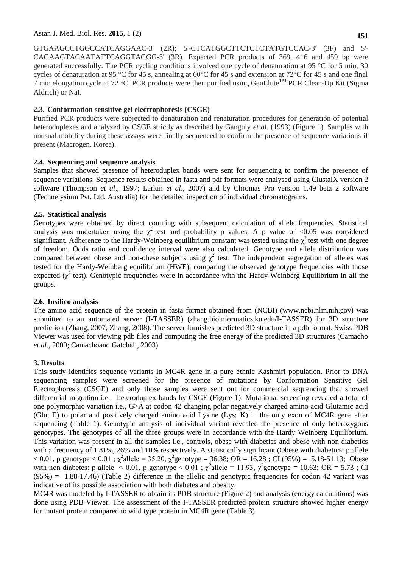GTGAAGCCTGGCCATCAGGAAC-3' (2R); 5'-CTCATGGCTTCTCTCTATGTCCAC-3' (3F) and 5'- CAGAAGTACAATATTCAGGTAGGG-3' (3R). Expected PCR products of 369, 416 and 459 bp were generated successfully. The PCR cycling conditions involved one cycle of denaturation at 95 °C for 5 min, 30 cycles of denaturation at 95 °C for 45 s, annealing at 60°C for 45 s and extension at 72°C for 45 s and one final 7 min elongation cycle at 72 °C. PCR products were then purified using GenElute<sup>TM</sup> PCR Clean-Up Kit (Sigma) Aldrich) or NaI.

## **2.3. Conformation sensitive gel electrophoresis (CSGE)**

Purified PCR products were subjected to denaturation and renaturation procedures for generation of potential heteroduplexes and analyzed by CSGE strictly as described by Ganguly *et al*. (1993) (Figure 1). Samples with unusual mobility during these assays were finally sequenced to confirm the presence of sequence variations if present (Macrogen, Korea).

## **2.4. Sequencing and sequence analysis**

Samples that showed presence of heteroduplex bands were sent for sequencing to confirm the presence of sequence variations. Sequence results obtained in fasta and pdf formats were analysed using ClustalX version 2 software (Thompson *et al*., 1997; Larkin *et al*., 2007) and by Chromas Pro version 1.49 beta 2 software (Technelysium Pvt. Ltd. Australia) for the detailed inspection of individual chromatograms.

## **2.5. Statistical analysis**

Genotypes were obtained by direct counting with subsequent calculation of allele frequencies. Statistical analysis was undertaken using the  $\chi^2$  test and probability p values. A p value of <0.05 was considered significant. Adherence to the Hardy-Weinberg equilibrium constant was tested using the  $\chi^2$  test with one degree of freedom. Odds ratio and confidence interval were also calculated. Genotype and allele distribution was compared between obese and non-obese subjects using  $\chi^2$  test. The independent segregation of alleles was tested for the Hardy-Weinberg equilibrium (HWE), comparing the observed genotype frequencies with those expected  $(\chi^2)$  test). Genotypic frequencies were in accordance with the Hardy-Weinberg Equilibrium in all the groups.

## **2.6. Insilico analysis**

The amino acid sequence of the protein in fasta format obtained from (NCBI) (www.ncbi.nlm.nih.gov) was submitted to an automated server (I-TASSER) (zhang.bioinformatics.ku.edu/I-TASSER) for 3D structure prediction (Zhang, 2007; Zhang, 2008). The server furnishes predicted 3D structure in a pdb format. Swiss PDB Viewer was used for viewing pdb files and computing the free energy of the predicted 3D structures (Camacho *et al*., 2000; Camachoand Gatchell, 2003).

## **3. Results**

This study identifies sequence variants in MC4R gene in a pure ethnic Kashmiri population. Prior to DNA sequencing samples were screened for the presence of mutations by Conformation Sensitive Gel Electrophoresis (CSGE) and only those samples were sent out for commercial sequencing that showed differential migration i.e., heteroduplex bands by CSGE (Figure 1). Mutational screening revealed a total of one polymorphic variation i.e., G>A at codon 42 changing polar negatively charged amino acid Glutamic acid (Glu; E) to polar and positively charged amino acid Lysine (Lys; K) in the only exon of MC4R gene after sequencing (Table 1). Genotypic analysis of individual variant revealed the presence of only heterozygous genotypes. The genotypes of all the three groups were in accordance with the Hardy Weinberg Equilibrium. This variation was present in all the samples i.e., controls, obese with diabetics and obese with non diabetics with a frequency of 1.81%, 26% and 10% respectively. A statistically significant (Obese with diabetics: p allele  $< 0.01$ , p genotype  $< 0.01$ ;  $\chi^2$ allele = 35.20,  $\chi^2$ genotype = 36.38; OR = 16.28; CI (95%) = 5.18-51.13; Obese with non diabetes: p allele  $\leq 0.01$ , p genotype  $\leq 0.01$ ;  $\chi^2$ allele = 11.93,  $\chi^2$ genotype = 10.63; OR = 5.73; CI (95%) = 1.88-17.46) (Table 2) difference in the allelic and genotypic frequencies for codon 42 variant was indicative of its possible association with both diabetes and obesity.

MC4R was modeled by I-TASSER to obtain its PDB structure (Figure 2) and analysis (energy calculations) was done using PDB Viewer. The assessment of the I-TASSER predicted protein structure showed higher energy for mutant protein compared to wild type protein in MC4R gene (Table 3).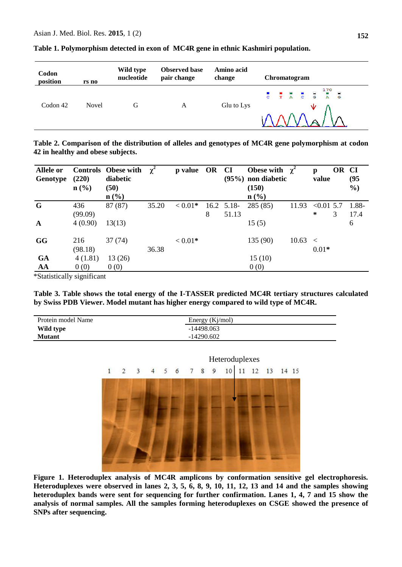| Codon<br>position | rs no        | Wild type<br>nucleotide | <b>Observed base</b><br>pair change | Amino acid<br>change | Chromatogram |
|-------------------|--------------|-------------------------|-------------------------------------|----------------------|--------------|
| Codon 42          | <b>Novel</b> | G                       | A                                   | Glu to Lys           | w            |

**Table 1. Polymorphism detected in exon of MC4R gene in ethnic Kashmiri population.**

**Table 2. Comparison of the distribution of alleles and genotypes of MC4R gene polymorphism at codon 42 in healthy and obese subjects.**

| <b>Allele or</b><br>Genotype | (220)<br>$n\left(\frac{0}{0}\right)$ | <b>Controls</b> Obese with<br>diabetic<br>(50) | $\chi^2$ | p value OR CI |   |              | Obese with $\chi^2$<br>$(95\%)$ non diabetic<br>(150) |       | p<br>value   | OR CI | (95)<br>$\frac{6}{2}$ |
|------------------------------|--------------------------------------|------------------------------------------------|----------|---------------|---|--------------|-------------------------------------------------------|-------|--------------|-------|-----------------------|
|                              |                                      | $n\left(\frac{9}{6}\right)$                    |          |               |   |              | $n$ (%)                                               |       |              |       |                       |
| G                            | 436                                  | 87 (87)                                        | 35.20    | $< 0.01*$     |   | $16.2$ 5.18- | 285 (85)                                              | 11.93 | $< 0.01$ 5.7 |       | 1.88-                 |
|                              | (99.09)                              |                                                |          |               | 8 | 51.13        |                                                       |       | $\ast$       | 3     | 17.4                  |
| $\mathbf A$                  | 4(0.90)                              | 13(13)                                         |          |               |   |              | 15(5)                                                 |       |              |       | 6                     |
| <b>GG</b>                    | 216                                  | 37(74)                                         |          | $< 0.01*$     |   |              | 135 (90)                                              | 10.63 | $\,<\,$      |       |                       |
|                              | (98.18)                              |                                                | 36.38    |               |   |              |                                                       |       | $0.01*$      |       |                       |
| GA                           | 4(1.81)                              | 13(26)                                         |          |               |   |              | 15(10)                                                |       |              |       |                       |
| AA                           | 0(0)                                 | 0(0)                                           |          |               |   |              | 0(0)                                                  |       |              |       |                       |

\*Statistically significant

**Table 3. Table shows the total energy of the I-TASSER predicted MC4R tertiary structures calculated by Swiss PDB Viewer. Model mutant has higher energy compared to wild type of MC4R.**

| Protein model Name | Energy $(Kj/mol)$ |  |  |  |  |
|--------------------|-------------------|--|--|--|--|
| Wild type          | $-14498.063$      |  |  |  |  |
| <b>Mutant</b>      | $-14290.602$      |  |  |  |  |



**Figure 1. Heteroduplex analysis of MC4R amplicons by conformation sensitive gel electrophoresis. Heteroduplexes were observed in lanes 2, 3, 5, 6, 8, 9, 10, 11, 12, 13 and 14 and the samples showing heteroduplex bands were sent for sequencing for further confirmation. Lanes 1, 4, 7 and 15 show the analysis of normal samples. All the samples forming heteroduplexes on CSGE showed the presence of SNPs after sequencing.**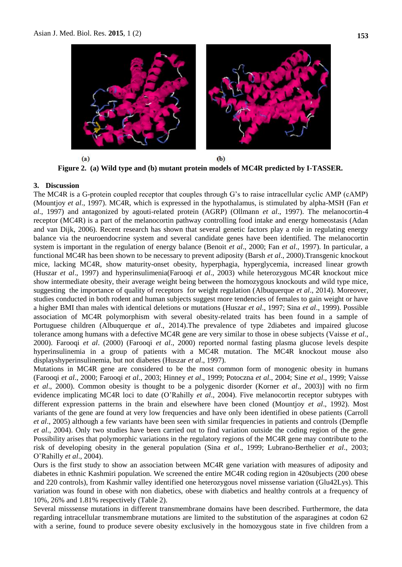

**Figure 2. (a) Wild type and (b) mutant protein models of MC4R predicted by I-TASSER.**

#### **3. Discussion**

The MC4R is a G-protein coupled receptor that couples through G's to raise intracellular cyclic AMP (cAMP) (Mountjoy *et al*., 1997). MC4R, which is expressed in the hypothalamus, is stimulated by alpha-MSH (Fan *et al*., 1997) and antagonized by agouti-related protein (AGRP) (Ollmann *et al*., 1997). The melanocortin-4 receptor (MC4R) is a part of the melanocortin pathway controlling food intake and energy homeostasis (Adan and van Dijk, 2006). Recent research has shown that several genetic factors play a role in regulating energy balance via the neuroendocrine system and several candidate genes have been identified. The melanocortin system is important in the regulation of energy balance (Benoit *et al*., 2000; Fan *et al*., 1997). In particular, a functional MC4R has been shown to be necessary to prevent adiposity (Barsh *et al*., 2000).Transgenic knockout mice, lacking MC4R, show maturity-onset obesity, hyperphagia, hyperglycemia, increased linear growth (Huszar *et al*., 1997) and hyperinsulimenia(Farooqi *et al*., 2003) while heterozygous MC4R knockout mice show intermediate obesity, their average weight being between the homozygous knockouts and wild type mice, suggesting the importance of quality of receptors for weight regulation (Albuquerque *et al*., 2014). Moreover, studies conducted in both rodent and human subjects suggest more tendencies of females to gain weight or have a higher BMI than males with identical deletions or mutations (Huszar *et al*., 1997; Sina *et al*., 1999). Possible association of MC4R polymorphism with several obesity-related traits has been found in a sample of Portuguese children (Albuquerque *et al*., 2014).The prevalence of type 2diabetes and impaired glucose tolerance among humans with a defective MC4R gene are very similar to those in obese subjects (Vaisse *et al*., 2000). Farooqi *et al*. (2000) (Farooqi *et al*., 2000) reported normal fasting plasma glucose levels despite hyperinsulinemia in a group of patients with a MC4R mutation. The MC4R knockout mouse also displayshyperinsulinemia, but not diabetes (Huszar *et al*., 1997).

Mutations in MC4R gene are considered to be the most common form of monogenic obesity in humans (Farooqi *et al*., 2000; Farooqi *et al*., 2003; Hinney *et al*., 1999; Potoczna *et al*., 2004; Sine *et al*., 1999; Vaisse *et al*., 2000). Common obesity is thought to be a polygenic disorder (Korner *et al*., 2003)] with no firm evidence implicating MC4R loci to date (O'Rahilly *et al*., 2004). Five melanocortin receptor subtypes with different expression patterns in the brain and elsewhere have been cloned (Mountjoy *et al*., 1992). Most variants of the gene are found at very low frequencies and have only been identified in obese patients (Carroll *et al.*, 2005) although a few variants have been seen with similar frequencies in patients and controls (Dempfle *et al*., 2004). Only two studies have been carried out to find variation outside the coding region of the gene. Possibility arises that polymorphic variations in the regulatory regions of the MC4R gene may contribute to the risk of developing obesity in the general population (Sina *et al*., 1999; Lubrano-Berthelier *et al*., 2003; O'Rahilly *et al*., 2004).

Ours is the first study to show an association between MC4R gene variation with measures of adiposity and diabetes in ethnic Kashmiri population. We screened the entire MC4R coding region in 420subjects (200 obese and 220 controls), from Kashmir valley identified one heterozygous novel missense variation (Glu42Lys). This variation was found in obese with non diabetics, obese with diabetics and healthy controls at a frequency of 10%, 26% and 1.81% respectively (Table 2).

Several misssense mutations in different transmembrane domains have been described. Furthermore, the data regarding intracellular transmembrane mutations are limited to the substitution of the asparagines at codon 62 with a serine, found to produce severe obesity exclusively in the homozygous state in five children from a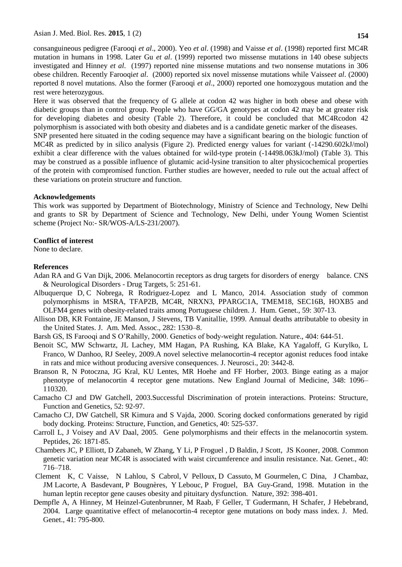consanguineous pedigree (Farooqi *et al*., 2000). Yeo *et al*. (1998) and Vaisse *et al*. (1998) reported first MC4R mutation in humans in 1998. Later Gu *et al*. (1999) reported two missense mutations in 140 obese subjects investigated and Hinney *et al*. (1997) reported nine missense mutations and two nonsense mutations in 306 obese children. Recently Farooqi*et al*. (2000) reported six novel missense mutations while Vaisse*et al*. (2000) reported 8 novel mutations. Also the former (Farooqi *et al*., 2000) reported one homozygous mutation and the rest were heterozygous.

Here it was observed that the frequency of G allele at codon 42 was higher in both obese and obese with diabetic groups than in control group. People who have GG/GA genotypes at codon 42 may be at greater risk for developing diabetes and obesity (Table 2). Therefore, it could be concluded that MC4Rcodon 42 polymorphism is associated with both obesity and diabetes and is a candidate genetic marker of the diseases.

SNP presented here situated in the coding sequence may have a significant bearing on the biologic function of MC4R as predicted by in silico analysis (Figure 2). Predicted energy values for variant (-14290.602kJ/mol) exhibit a clear difference with the values obtained for wild-type protein (-14498.063kJ/mol) (Table 3). This may be construed as a possible influence of glutamic acid-lysine transition to alter physicochemical properties of the protein with compromised function. Further studies are however, needed to rule out the actual affect of these variations on protein structure and function.

## **Acknowledgements**

This work was supported by Department of Biotechnology, Ministry of Science and Technology, New Delhi and grants to SR by Department of Science and Technology, New Delhi, under Young Women Scientist scheme (Project No:- SR/WOS-A/LS-231/2007).

## **Conflict of interest**

None to declare.

## **References**

- Adan RA and G Van Dijk, 2006. [Melanocortin receptors as drug targets for disorders of energy balance.](http://www.ncbi.nlm.nih.gov/pubmed/16787227?itool=EntrezSystem2.PEntrez.Pubmed.Pubmed_ResultsPanel.Pubmed_RVDocSum&ordinalpos=23) CNS & Neurological Disorders - Drug Targets, 5: 251-61.
- Albuquerque D, C Nobrega, R Rodriguez-Lopez and L Manco, 2014. Association study of common polymorphisms in MSRA, TFAP2B, MC4R, NRXN3, PPARGC1A, TMEM18, SEC16B, HOXB5 and OLFM4 genes with obesity-related traits among Portuguese children. J. Hum. Genet., 59: 307-13.
- Allison DB, KR Fontaine, JE Manson, J Stevens, TB Vanitallie, 1999. [Annual deaths attributable to obesity in](http://jama.ama-assn.org/cgi/pmidlookup?view=long&pmid=10546692)  [the United States.](http://jama.ama-assn.org/cgi/pmidlookup?view=long&pmid=10546692) J. Am. Med. Assoc., 282: 1530–8.
- Barsh GS, IS Farooqi and S O'Rahilly, 2000. Genetics of body-weight regulation. Nature., 404: 644-51.
- Benoit SC, MW Schwartz, JL Lachey, MM Hagan, PA Rushing, KA Blake, KA Yagaloff, G Kurylko, L Franco, W Danhoo, RJ Seeley, 2009[.A novel selective melanocortin-4 receptor agonist reduces food intake](http://www.ncbi.nlm.nih.gov/pubmed/10777807?itool=EntrezSystem2.PEntrez.Pubmed.Pubmed_ResultsPanel.Pubmed_RVDocSum&ordinalpos=125)  [in rats and mice without producing aversive consequences.](http://www.ncbi.nlm.nih.gov/pubmed/10777807?itool=EntrezSystem2.PEntrez.Pubmed.Pubmed_ResultsPanel.Pubmed_RVDocSum&ordinalpos=125) J. Neurosci., 20: 3442-8.
- Branson R, N Potoczna, JG Kral, KU Lentes, MR Hoehe and FF Horber, 2003. Binge eating as a major phenotype of melanocortin 4 receptor gene mutations. New England Journal of Medicine, 348: 1096– 110320.
- Camacho CJ and DW Gatchell, 2003.Successful Discrimination of protein interactions. Proteins: Structure, Function and Genetics, 52: 92-97.
- Camacho CJ, DW Gatchell, SR Kimura and S Vajda, 2000. Scoring docked conformations generated by rigid body docking. Proteins: Structure, Function, and Genetics, 40: 525-537.
- Carroll L, J Voisey and AV Daal, 2005. Gene polymorphisms and their effects in the melanocortin system. Peptides, 26: 1871-85.
- Chambers JC, P Elliott, D Zabaneh, W [Zhang,](http://www.ncbi.nlm.nih.gov/pubmed?term=Zhang%20W%5BAuthor%5D&cauthor=true&cauthor_uid=18454146) Y [Li,](http://www.ncbi.nlm.nih.gov/pubmed?term=Li%20Y%5BAuthor%5D&cauthor=true&cauthor_uid=18454146) P [Froguel ,](http://www.ncbi.nlm.nih.gov/pubmed?term=Froguel%20P%5BAuthor%5D&cauthor=true&cauthor_uid=18454146) D [Baldin,](http://www.ncbi.nlm.nih.gov/pubmed?term=Balding%20D%5BAuthor%5D&cauthor=true&cauthor_uid=18454146) J [Scott,](http://www.ncbi.nlm.nih.gov/pubmed?term=Scott%20J%5BAuthor%5D&cauthor=true&cauthor_uid=18454146) [JS](http://www.ncbi.nlm.nih.gov/pubmed?term=Kooner%20JS%5BAuthor%5D&cauthor=true&cauthor_uid=18454146) Kooner, 2008. Common genetic variation near MC4R is associated with waist circumference and insulin resistance. Nat. Genet., 40: 716–718.
- Clement K, C Vaisse, N Lahlou, S [Cabrol,](http://www.ncbi.nlm.nih.gov/pubmed?term=%22Cabrol%20S%22%5BAuthor%5D&itool=EntrezSystem2.PEntrez.Pubmed.Pubmed_ResultsPanel.Pubmed_RVAbstract) V [Pelloux,](http://www.ncbi.nlm.nih.gov/pubmed?term=%22Pelloux%20V%22%5BAuthor%5D&itool=EntrezSystem2.PEntrez.Pubmed.Pubmed_ResultsPanel.Pubmed_RVAbstract) D [Cassuto,](http://www.ncbi.nlm.nih.gov/pubmed?term=%22Cassuto%20D%22%5BAuthor%5D&itool=EntrezSystem2.PEntrez.Pubmed.Pubmed_ResultsPanel.Pubmed_RVAbstract) M [Gourmelen,](http://www.ncbi.nlm.nih.gov/pubmed?term=%22Gourmelen%20M%22%5BAuthor%5D&itool=EntrezSystem2.PEntrez.Pubmed.Pubmed_ResultsPanel.Pubmed_RVAbstract) C [Dina,](http://www.ncbi.nlm.nih.gov/pubmed?term=%22Dina%20C%22%5BAuthor%5D&itool=EntrezSystem2.PEntrez.Pubmed.Pubmed_ResultsPanel.Pubmed_RVAbstract) J [Chambaz,](http://www.ncbi.nlm.nih.gov/pubmed?term=%22Chambaz%20J%22%5BAuthor%5D&itool=EntrezSystem2.PEntrez.Pubmed.Pubmed_ResultsPanel.Pubmed_RVAbstract) JM [Lacorte,](http://www.ncbi.nlm.nih.gov/pubmed?term=%22Lacorte%20JM%22%5BAuthor%5D&itool=EntrezSystem2.PEntrez.Pubmed.Pubmed_ResultsPanel.Pubmed_RVAbstract) A [Basdevant,](http://www.ncbi.nlm.nih.gov/pubmed?term=%22Basdevant%20A%22%5BAuthor%5D&itool=EntrezSystem2.PEntrez.Pubmed.Pubmed_ResultsPanel.Pubmed_RVAbstract) P [Bougnères,](http://www.ncbi.nlm.nih.gov/pubmed?term=%22Bougn%C3%A8res%20P%22%5BAuthor%5D&itool=EntrezSystem2.PEntrez.Pubmed.Pubmed_ResultsPanel.Pubmed_RVAbstract) Y [Lebouc,](http://www.ncbi.nlm.nih.gov/pubmed?term=%22Lebouc%20Y%22%5BAuthor%5D&itool=EntrezSystem2.PEntrez.Pubmed.Pubmed_ResultsPanel.Pubmed_RVAbstract) P [Froguel,](http://www.ncbi.nlm.nih.gov/pubmed?term=%22Froguel%20P%22%5BAuthor%5D&itool=EntrezSystem2.PEntrez.Pubmed.Pubmed_ResultsPanel.Pubmed_RVAbstract) [BA](http://www.ncbi.nlm.nih.gov/pubmed?term=%22Guy-Grand%20B%22%5BAuthor%5D&itool=EntrezSystem2.PEntrez.Pubmed.Pubmed_ResultsPanel.Pubmed_RVAbstract) Guy-Grand, 1998. Mutation in the human leptin receptor gene causes obesity and pituitary dysfunction. Nature, 392: 398-401.
- Dempfle A, A Hinney, M Heinzel-Gutenbrunner, M Raab, F Geller, T Gudermann, H Schafer, J Hebebrand, 2004. Large quantitative effect of melanocortin-4 receptor gene mutations on body mass index. J. Med. Genet., 41: 795-800.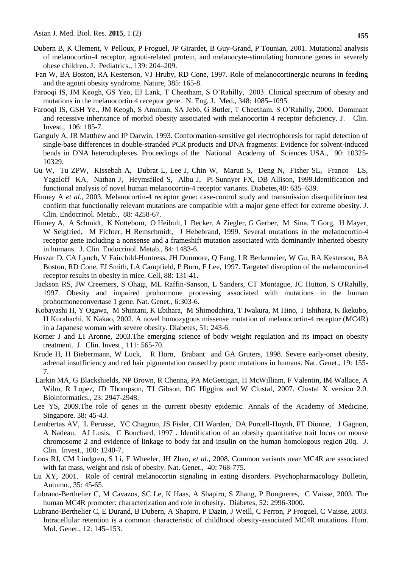- Dubern B, K Clement, V Pelloux, P Froguel, JP Girardet, B Guy-Grand, P Tounian, 2001. Mutational analysis of melanocortin-4 receptor, agouti-related protein, and melanocyte-stimulating hormone genes in severely obese children. J. Pediatrics., 139: 204–209.
- Fan W, BA Boston, RA Kesterson, VJ Hruby, RD Cone, 1997. Role of melanocortinergic neurons in feeding and the agouti obesity syndrome. Nature, 385: 165-8.
- Farooqi IS, JM Keogh, GS Yeo, EJ Lank, T Cheetham, S O'Rahilly, 2003. Clinical spectrum of obesity and mutations in the melanocortin 4 receptor gene. N. Eng. J. Med., 348: 1085–1095.
- Farooqi IS, GSH Ye., JM Keogh, S Aminian, SA Jebb, G Butler, T Cheetham, S O'Rahilly, 2000. Dominant and recessive inheritance of morbid obesity associated with melanocortin 4 receptor deficiency. J. Clin. Invest., 106: 185-7.
- Ganguly A, JR Matthew and JP Darwin, 1993. Conformation-sensitive gel electrophoresis for rapid detection of single-base differences in double-stranded PCR products and DNA fragments: Evidence for solvent-induced bends in DNA heteroduplexes. Proceedings of the National Academy of Sciences USA., 90: 10325- 10329.
- Gu W, Tu ZPW, Kissebah A, Dubrat L, Lee J, Chin W, Maruti S, Deng N, Fisher SL, Franco LS, Yagaloff KA, Nathan J, Heymsfiled S, Albu J, Pi-Sunnyer FX, DB Allison, 1999.Identification and functional analysis of novel human melanocortin-4 receptor variants. Diabetes,48: 635–639.
- Hinney A *et al*., 2003. Melanocortin-4 receptor gene: case-control study and transmission disequilibrium test confirm that functionally relevant mutations are compatible with a major gene effect for extreme obesity. J. Clin. Endocrinol. Metab., 88: 4258-67.
- Hinney A, A Schmidt, K Nottebom, O Heibult, I Becker, A Ziegler, G Gerber, M Sina, T Gorg, H Mayer, W Seigfried, M Fichter, H Remschmidt, J Hebebrand, 1999. Several mutations in the melanocortin-4 receptor gene including a nonsense and a frameshift mutation associated with dominantly inherited obesity in humans. J. Clin. Endocrinol. Metab., 84: 1483-6.
- Huszar D, CA Lynch, V Fairchild-Huntress, JH Dunmore, Q Fang, LR Berkemeier, W Gu, RA Kesterson, BA Boston, RD Cone, FJ Smith, LA Campfield, P Burn, F Lee, 1997. Targeted disruption of the melanocortin-4 receptor results in obesity in mice. Cell, 88: 131-41.
- Jackson RS, JW Creemers, S Ohagi, ML Raffin-Sanson, L Sanders, CT Montague, JC Hutton, S O'Rahilly, 1997. [Obesity and impaired prohormone processing associated with mutations in the human](http://www.ncbi.nlm.nih.gov/pubmed/9207799?itool=EntrezSystem2.PEntrez.Pubmed.Pubmed_ResultsPanel.Pubmed_RVDocSum&ordinalpos=5)  [prohormoneconvertase 1 gene.](http://www.ncbi.nlm.nih.gov/pubmed/9207799?itool=EntrezSystem2.PEntrez.Pubmed.Pubmed_ResultsPanel.Pubmed_RVDocSum&ordinalpos=5) Nat. Genet., 6:303-6.
- Kobayashi H, Y Ogawa, M Shintani, K Ebihara, M Shimodahira, T Iwakura, M Hino, T Ishihara, K Ikekubo, H Kurahachi, K Nakao, 2002. A novel homozygous missense mutation of melanocortin-4 receptor (MC4R) in a Japanese woman with severe obesity. Diabetes, 51: 243-6.
- Korner J and LI Aronne, 2003.The emerging science of body weight regulation and its impact on obesity treatment. J. Clin. Invest., 111: 565-70.
- Krude H, H Biebermann, W Luck, R Horn, Brabant and GA Gruters, 1998. Severe early-onset obesity, adrenal insufficiency and red hair pigmentation caused by pomc mutations in humans. Nat. Genet., 19: 155- 7.
- Larkin MA, G Blackshields, NP Brown, R Chenna, PA McGettigan, H McWilliam, F Valentin, IM Wallace, A Wilm, R Lopez, JD Thompson, TJ Gibson, DG Higgins and W Clustal, 2007. Clustal X version 2.0. Bioinformatics., 23: 2947-2948.
- Lee YS, 2009.The role of genes in the current obesity epidemic. Annals of the Academy of Medicine, Singapore. 38**:** 45-43.
- Lembertas AV, L Perusse, YC Chagnon, JS Fisler, CH Warden, DA Purcell-Huynh, FT Dionne, J Gagnon, A Nadeau, AJ Lusis, C Bouchard, 1997 . Identification of an obesity quantitative trait locus on mouse chromosome 2 and evidence of linkage to body fat and insulin on the human homologous region 20q. J. Clin. Invest., 100: 1240-7.
- Loos RJ, CM Lindgren, S Li, E Wheeler, JH Zhao, *et al*., 2008. Common variants near MC4R are associated with fat mass, weight and risk of obesity. Nat. Genet., 40: 768-775.
- Lu XY, 2001. Role of central melanocortin signaling in eating disorders. Psychopharmacology Bulletin, Autumn., 35: 45-65.
- Lubrano-Berthelier C, M Cavazos, SC Le, K Haas, A Shapiro, S Zhang, P Bougneres, C Vaisse, 2003. The human MC4R promoter: characterization and role in obesity. Diabetes, 52: 2996-3000.
- Lubrano-Berthelier C, E Durand, B Dubern, A Shapiro, P Dazin, J Weill, C Ferron, P Froguel, C Vaisse, 2003. Intracellular retention is a common characteristic of childhood obesity-associated MC4R mutations. Hum. Mol. Genet., 12: 145–153.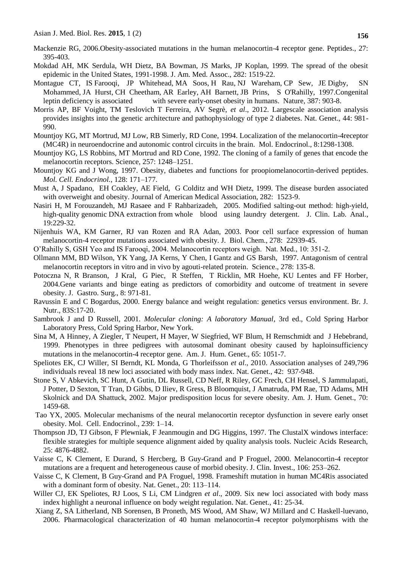- Mackenzie RG, 2006.Obesity-associated mutations in the human melanocortin-4 receptor gene. Peptides., 27: 395-403.
- Mokdad AH, MK Serdula, WH Dietz, BA Bowman, JS Marks, JP Koplan, 1999. The spread of the obesit epidemic in the United States, 1991-1998. J. Am. Med. Assoc., 282: 1519-22.
- [Montague CT,](http://www.ncbi.nlm.nih.gov/pubmed?term=%22Montague%20CT%22%5BAuthor%5D&itool=EntrezSystem2.PEntrez.Pubmed.Pubmed_ResultsPanel.Pubmed_RVAbstract) IS [Farooqi,](http://www.ncbi.nlm.nih.gov/pubmed?term=%22Farooqi%20IS%22%5BAuthor%5D&itool=EntrezSystem2.PEntrez.Pubmed.Pubmed_ResultsPanel.Pubmed_RVAbstract) JP [Whitehead,](http://www.ncbi.nlm.nih.gov/pubmed?term=%22Whitehead%20JP%22%5BAuthor%5D&itool=EntrezSystem2.PEntrez.Pubmed.Pubmed_ResultsPanel.Pubmed_RVAbstract) MA [Soos,](http://www.ncbi.nlm.nih.gov/pubmed?term=%22Soos%20MA%22%5BAuthor%5D&itool=EntrezSystem2.PEntrez.Pubmed.Pubmed_ResultsPanel.Pubmed_RVAbstract) H [Rau,](http://www.ncbi.nlm.nih.gov/pubmed?term=%22Rau%20H%22%5BAuthor%5D&itool=EntrezSystem2.PEntrez.Pubmed.Pubmed_ResultsPanel.Pubmed_RVAbstract) NJ [Wareham,](http://www.ncbi.nlm.nih.gov/pubmed?term=%22Wareham%20NJ%22%5BAuthor%5D&itool=EntrezSystem2.PEntrez.Pubmed.Pubmed_ResultsPanel.Pubmed_RVAbstract) CP [Sew,](http://www.ncbi.nlm.nih.gov/pubmed?term=%22Sewter%20CP%22%5BAuthor%5D&itool=EntrezSystem2.PEntrez.Pubmed.Pubmed_ResultsPanel.Pubmed_RVAbstract) JE [Digby,](http://www.ncbi.nlm.nih.gov/pubmed?term=%22Digby%20JE%22%5BAuthor%5D&itool=EntrezSystem2.PEntrez.Pubmed.Pubmed_ResultsPanel.Pubmed_RVAbstract) SN [Mohammed,](http://www.ncbi.nlm.nih.gov/pubmed?term=%22Mohammed%20SN%22%5BAuthor%5D&itool=EntrezSystem2.PEntrez.Pubmed.Pubmed_ResultsPanel.Pubmed_RVAbstract) JA [Hurst,](http://www.ncbi.nlm.nih.gov/pubmed?term=%22Hurst%20JA%22%5BAuthor%5D&itool=EntrezSystem2.PEntrez.Pubmed.Pubmed_ResultsPanel.Pubmed_RVAbstract) CH [Cheetham,](http://www.ncbi.nlm.nih.gov/pubmed?term=%22Cheetham%20CH%22%5BAuthor%5D&itool=EntrezSystem2.PEntrez.Pubmed.Pubmed_ResultsPanel.Pubmed_RVAbstract) AR [Earley,](http://www.ncbi.nlm.nih.gov/pubmed?term=%22Earley%20AR%22%5BAuthor%5D&itool=EntrezSystem2.PEntrez.Pubmed.Pubmed_ResultsPanel.Pubmed_RVAbstract) AH [Barnett,](http://www.ncbi.nlm.nih.gov/pubmed?term=%22Barnett%20AH%22%5BAuthor%5D&itool=EntrezSystem2.PEntrez.Pubmed.Pubmed_ResultsPanel.Pubmed_RVAbstract) JB [Prins,](http://www.ncbi.nlm.nih.gov/pubmed?term=%22Prins%20JB%22%5BAuthor%5D&itool=EntrezSystem2.PEntrez.Pubmed.Pubmed_ResultsPanel.Pubmed_RVAbstract) [S](http://www.ncbi.nlm.nih.gov/pubmed?term=%22O) O'Rahilly, 1997.Congenital leptin deficiency is associated with severe early-onset obesity in humans. [Nature,](javascript:AL_get(this,%20) 387: 903-8.
- Morris AP, BF Voight, TM Teslovich T Ferreira, AV Segrè, *et al*., 2012. Largescale association analysis provides insights into the genetic architecture and pathophysiology of type 2 diabetes. Nat. Genet., 44: 981- 990.
- Mountjoy KG, MT Mortrud, MJ Low, RB Simerly, RD Cone, 1994. Localization of the melanocortin-4receptor (MC4R) in neuroendocrine and autonomic control circuits in the brain. Mol. Endocrinol., 8:1298-1308.
- Mountjoy KG, LS Robbins, MT Mortrud and RD Cone, 1992. The cloning of a family of genes that encode the melanocortin receptors. Science, 257: 1248–1251.
- Mountjoy KG and J Wong, 1997. Obesity, diabetes and functions for proopiomelanocortin-derived peptides. *Mol. Cell. Endocrinol.*, 128: 171–177.
- Must A, J Spadano, EH Coakley, AE Field, G Colditz and WH Dietz, 1999. The disease burden associated with overweight and obesity. Journal of American Medical Association, 282: 1523-9.
- [Nasiri H,](http://www.ncbi.nlm.nih.gov/pubmed?term=%22Nasiri%20H%22%5BAuthor%5D&itool=EntrezSystem2.PEntrez.Pubmed.Pubmed_ResultsPanel.Pubmed_RVAbstract) M [Forouzandeh,](http://www.ncbi.nlm.nih.gov/pubmed?term=%22Forouzandeh%20M%22%5BAuthor%5D&itool=EntrezSystem2.PEntrez.Pubmed.Pubmed_ResultsPanel.Pubmed_RVAbstract) MJ [Rasaee](http://www.ncbi.nlm.nih.gov/pubmed?term=%22Rasaee%20MJ%22%5BAuthor%5D&itool=EntrezSystem2.PEntrez.Pubmed.Pubmed_ResultsPanel.Pubmed_RVAbstract) and F [Rahbarizadeh,](http://www.ncbi.nlm.nih.gov/pubmed?term=%22Rahbarizadeh%20F%22%5BAuthor%5D&itool=EntrezSystem2.PEntrez.Pubmed.Pubmed_ResultsPanel.Pubmed_RVAbstract) 2005. Modified salting-out method: high-yield, high-quality genomic DNA extraction from whole blood using laundry detergent. [J. Clin. Lab. Anal.,](javascript:AL_get(this,%20) 19:229-32.
- Nijenhuis WA, KM Garner, RJ van Rozen and RA Adan, 2003. Poor cell surface expression of human melanocortin-4 receptor mutations associated with obesity. J. Biol. Chem., 278: 22939-45.
- O'Rahilly S, GSH Yeo and IS Farooqi, 2004. Melanocortin receptors weigh. Nat. Med., 10: 351-2.
- Ollmann MM, BD Wilson, YK Yang, JA Kerns, Y Chen, I Gantz and GS Barsh, 1997. Antagonism of central melanocortin receptors in vitro and in vivo by agouti-related protein. Science., 278: 135-8.
- Potoczna N, R Branson, J Kral, G Piec, R Steffen, T Ricklin, MR Hoehe, KU Lentes and FF Horber, 2004.Gene variants and binge eating as predictors of comorbidity and outcome of treatment in severe obesity. J. Gastro. Surg., 8: 971-81.
- Ravussin E and C Bogardus, 2000. Energy balance and weight regulation: genetics versus environment. Br. J. Nutr., 83S:17-20.
- Sambrook J and D Russell, 2001. *Molecular cloning: A laboratory Manual*, 3rd ed., Cold Spring Harbor Laboratory Press, Cold Spring Harbor, New York.
- Sina M, A Hinney, A Ziegler, T Neupert, H Mayer, W Siegfried, WF Blum, H Remschmidt and J Hebebrand, 1999. Phenotypes in three pedigrees with autosomal dominant obesity caused by haploinsufficiency mutations in the melanocortin-4 receptor gene. Am. J. Hum. Genet., 65: 1051-7.
- Speliotes EK, CJ Willer, SI Berndt, KL Monda, G Thorleifsson *et al*., 2010. Association analyses of 249,796 individuals reveal 18 new loci associated with body mass index. Nat. Genet., 42: 937-948.
- Stone S, V Abkevich, SC Hunt, A Gutin, DL Russell, CD Neff, R Riley, GC Frech, CH Hensel, S Jammulapati, J Potter, D Sexton, T Tran, D Gibbs, D Iliev, R Gress, B Bloomquist, J Amatruda, PM Rae, TD Adams, MH Skolnick and DA Shattuck, 2002. Major predisposition locus for severe obesity. Am. J. Hum. Genet., 70: 1459-68.
- Tao YX, 2005. Molecular mechanisms of the neural melanocortin receptor dysfunction in severe early onset obesity. Mol. Cell. Endocrinol., 239: 1–14.
- Thompson JD, TJ Gibson, F Plewniak, F Jeanmougin and DG Higgins, 1997. The ClustalX windows interface: flexible strategies for multiple sequence alignment aided by quality analysis tools. Nucleic Acids Research, 25: 4876-4882.
- Vaisse C, K Clement, E Durand, S Hercberg, B Guy-Grand and P Froguel, 2000. Melanocortin-4 receptor mutations are a frequent and heterogeneous cause of morbid obesity. J. Clin. Invest., 106: 253–262.
- Vaisse C, K Clement, B Guy-Grand and PA Froguel, 1998. Frameshift mutation in human MC4Ris associated with a dominant form of obesity. Nat. Genet., 20: 113–114.
- Willer CJ, EK Speliotes, RJ Loos, S Li, CM Lindgren *et al*., 2009. Six new loci associated with body mass index highlight a neuronal influence on body weight regulation. Nat. Genet., 41: 25-34.
- Xiang Z, SA Litherland, NB Sorensen, B Proneth, MS Wood, AM Shaw, WJ Millard and C Haskell-luevano, 2006. Pharmacological characterization of 40 human melanocortin-4 receptor polymorphisms with the